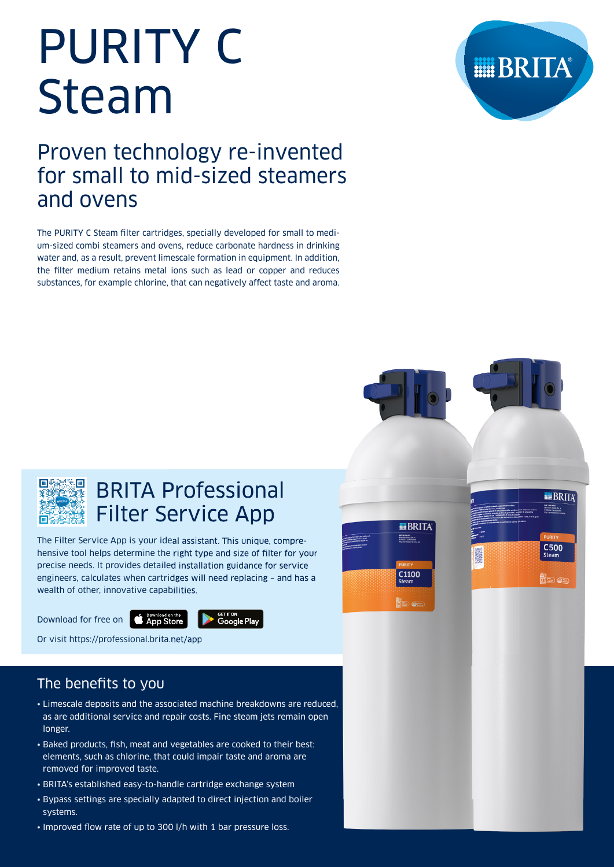# PURITY C Steam

# Proven technology re-invented for small to mid-sized steamers and ovens

The PURITY C Steam filter cartridges, specially developed for small to medium-sized combi steamers and ovens, reduce carbonate hardness in drinking water and, as a result, prevent limescale formation in equipment. In addition, the filter medium retains metal ions such as lead or copper and reduces substances, for example chlorine, that can negatively affect taste and aroma.





**THE BRITA** 

**C500** 



# BRITA Professional Filter Service App

The Filter Service App is your ideal assistant. This unique, comprehensive tool helps determine the right type and size of filter for your precise needs. It provides detailed installation guidance for service engineers, calculates when cartridges will need replacing – and has a wealth of other, innovative capabilities.



Download for free on **C App Store** 



Or visit https://professional.brita.net/app

# The benefits to you

- Limescale deposits and the associated machine breakdowns are reduced, as are additional service and repair costs. Fine steam jets remain open longer.
- Baked products, fish, meat and vegetables are cooked to their best: elements, such as chlorine, that could impair taste and aroma are removed for improved taste.
- BRITA's established easy-to-handle cartridge exchange system
- Bypass settings are specially adapted to direct injection and boiler systems.
- Improved flow rate of up to 300 l/h with 1 bar pressure loss.